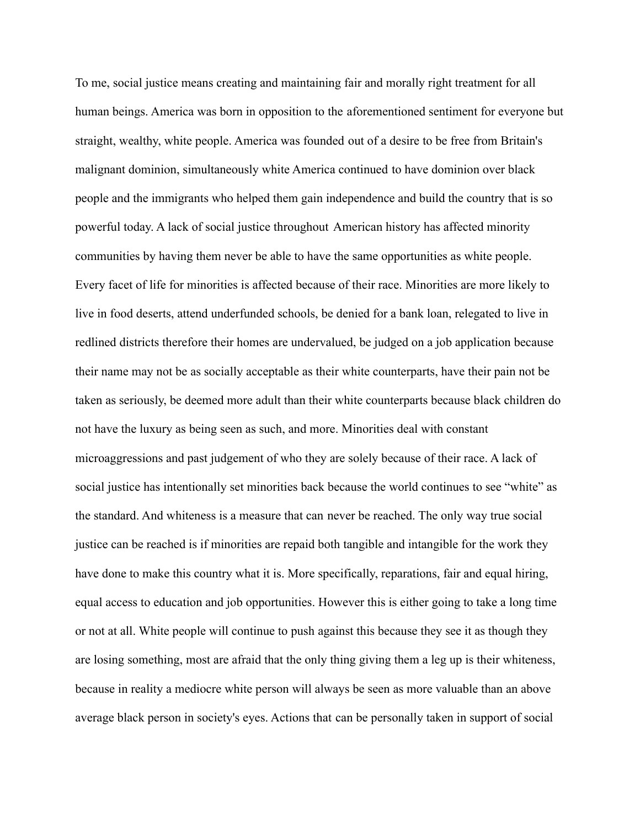To me, social justice means creating and maintaining fair and morally right treatment for all human beings. America was born in opposition to the aforementioned sentiment for everyone but straight, wealthy, white people. America was founded out of a desire to be free from Britain's malignant dominion, simultaneously white America continued to have dominion over black people and the immigrants who helped them gain independence and build the country that is so powerful today. A lack of social justice throughout American history has affected minority communities by having them never be able to have the same opportunities as white people. Every facet of life for minorities is affected because of their race. Minorities are more likely to live in food deserts, attend underfunded schools, be denied for a bank loan, relegated to live in redlined districts therefore their homes are undervalued, be judged on a job application because their name may not be as socially acceptable as their white counterparts, have their pain not be taken as seriously, be deemed more adult than their white counterparts because black children do not have the luxury as being seen as such, and more. Minorities deal with constant microaggressions and past judgement of who they are solely because of their race. A lack of social justice has intentionally set minorities back because the world continues to see "white" as the standard. And whiteness is a measure that can never be reached. The only way true social justice can be reached is if minorities are repaid both tangible and intangible for the work they have done to make this country what it is. More specifically, reparations, fair and equal hiring, equal access to education and job opportunities. However this is either going to take a long time or not at all. White people will continue to push against this because they see it as though they are losing something, most are afraid that the only thing giving them a leg up is their whiteness, because in reality a mediocre white person will always be seen as more valuable than an above average black person in society's eyes. Actions that can be personally taken in support of social